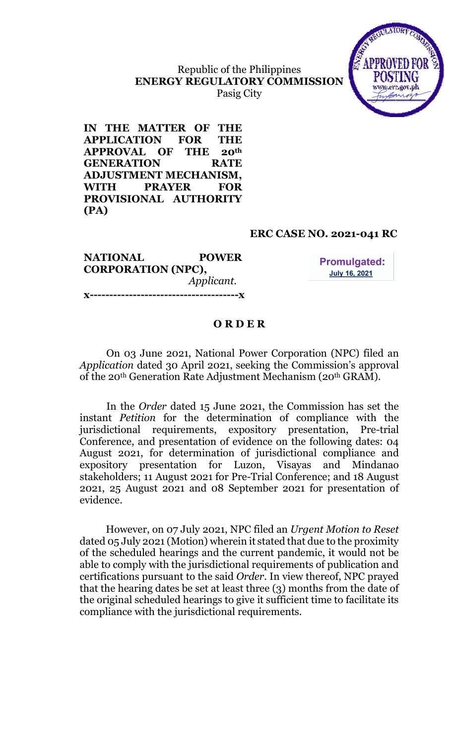Republic of the Philippines ENERGY REGULATORY COMMISSION Pasig City



IN THE MATTER OF THE APPLICATION FOR THE APPROVAL OF THE 20th GENERATION RATE ADJUSTMENT MECHANISM, WITH PRAYER FOR PROVISIONAL AUTHORITY (PA)

#### ERC CASE NO. 2021-041 RC

NATIONAL POWER CORPORATION (NPC), Applicant. x--------------------------------------x

**Promulgated: July 16, 2021** 

#### O R D E R

On 03 June 2021, National Power Corporation (NPC) filed an Application dated 30 April 2021, seeking the Commission's approval of the 20th Generation Rate Adjustment Mechanism (20th GRAM).

In the Order dated 15 June 2021, the Commission has set the instant Petition for the determination of compliance with the jurisdictional requirements, expository presentation, Pre-trial Conference, and presentation of evidence on the following dates: 04 August 2021, for determination of jurisdictional compliance and expository presentation for Luzon, Visayas and Mindanao stakeholders; 11 August 2021 for Pre-Trial Conference; and 18 August 2021, 25 August 2021 and 08 September 2021 for presentation of evidence.

However, on 07 July 2021, NPC filed an Urgent Motion to Reset dated 05 July 2021 (Motion) wherein it stated that due to the proximity of the scheduled hearings and the current pandemic, it would not be able to comply with the jurisdictional requirements of publication and certifications pursuant to the said Order. In view thereof, NPC prayed that the hearing dates be set at least three (3) months from the date of the original scheduled hearings to give it sufficient time to facilitate its compliance with the jurisdictional requirements.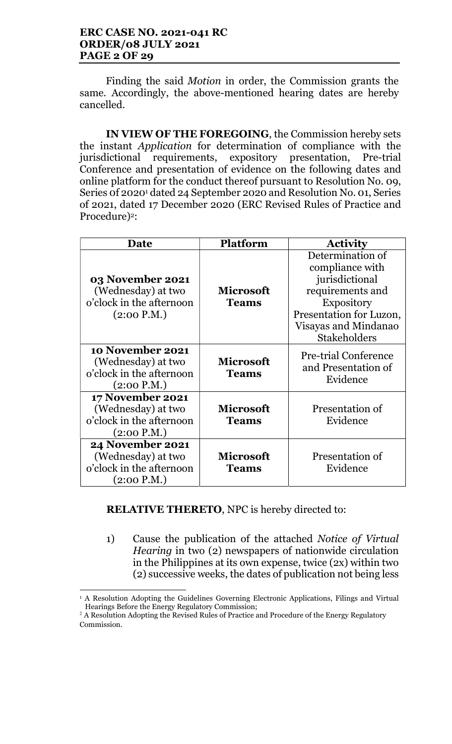#### ERC CASE NO. 2021-041 RC ORDER/08 JULY 2021 PAGE 2 OF 29

Finding the said Motion in order, the Commission grants the same. Accordingly, the above-mentioned hearing dates are hereby cancelled.

IN VIEW OF THE FOREGOING, the Commission hereby sets the instant Application for determination of compliance with the jurisdictional requirements, expository presentation, Pre-trial Conference and presentation of evidence on the following dates and online platform for the conduct thereof pursuant to Resolution No. 09, Series 0f 2020<sup>1</sup> dated 24 September 2020 and Resolution No. 01, Series of 2021, dated 17 December 2020 (ERC Revised Rules of Practice and Procedure)<sup>2</sup>:

| Date                                                                                     | <b>Platform</b>                  | <b>Activity</b>                                                                                                                                                          |
|------------------------------------------------------------------------------------------|----------------------------------|--------------------------------------------------------------------------------------------------------------------------------------------------------------------------|
| 03 November 2021<br>(Wednesday) at two<br>o'clock in the afternoon<br>(2:00 P.M.)        | <b>Microsoft</b><br><b>Teams</b> | Determination of<br>compliance with<br>jurisdictional<br>requirements and<br><b>Expository</b><br>Presentation for Luzon,<br>Visayas and Mindanao<br><b>Stakeholders</b> |
| 10 November 2021<br>(Wednesday) at two<br>o'clock in the afternoon<br>(2:00 P.M.)        | <b>Microsoft</b><br><b>Teams</b> | <b>Pre-trial Conference</b><br>and Presentation of<br>Evidence                                                                                                           |
| 17 November 2021<br>(Wednesday) at two<br>o'clock in the afternoon<br>(2:00 P.M.)        | <b>Microsoft</b><br><b>Teams</b> | Presentation of<br>Evidence                                                                                                                                              |
| <b>24 November 2021</b><br>(Wednesday) at two<br>o'clock in the afternoon<br>(2:00 P.M.) | <b>Microsoft</b><br><b>Teams</b> | Presentation of<br>Evidence                                                                                                                                              |

RELATIVE THERETO, NPC is hereby directed to:

1) Cause the publication of the attached Notice of Virtual Hearing in two (2) newspapers of nationwide circulation in the Philippines at its own expense, twice (2x) within two (2) successive weeks, the dates of publication not being less

 $\overline{a}$ <sup>1</sup> A Resolution Adopting the Guidelines Governing Electronic Applications, Filings and Virtual Hearings Before the Energy Regulatory Commission;

<sup>&</sup>lt;sup>2</sup> A Resolution Adopting the Revised Rules of Practice and Procedure of the Energy Regulatory Commission.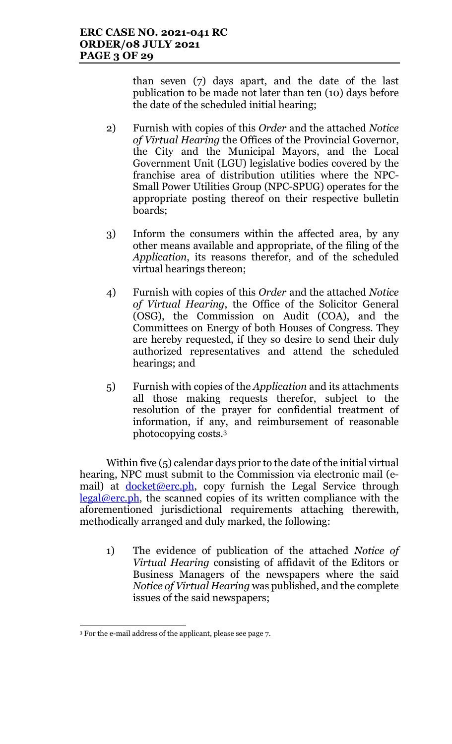than seven (7) days apart, and the date of the last publication to be made not later than ten (10) days before the date of the scheduled initial hearing;

- 2) Furnish with copies of this Order and the attached Notice of Virtual Hearing the Offices of the Provincial Governor, the City and the Municipal Mayors, and the Local Government Unit (LGU) legislative bodies covered by the franchise area of distribution utilities where the NPC-Small Power Utilities Group (NPC-SPUG) operates for the appropriate posting thereof on their respective bulletin boards;
- 3) Inform the consumers within the affected area, by any other means available and appropriate, of the filing of the Application, its reasons therefor, and of the scheduled virtual hearings thereon;
- 4) Furnish with copies of this Order and the attached Notice of Virtual Hearing, the Office of the Solicitor General (OSG), the Commission on Audit (COA), and the Committees on Energy of both Houses of Congress. They are hereby requested, if they so desire to send their duly authorized representatives and attend the scheduled hearings; and
- 5) Furnish with copies of the Application and its attachments all those making requests therefor, subject to the resolution of the prayer for confidential treatment of information, if any, and reimbursement of reasonable photocopying costs.<sup>3</sup>

Within five (5) calendar days prior to the date of the initial virtual hearing, NPC must submit to the Commission via electronic mail (email) at <u>docket@erc.ph</u>, copy furnish the Legal Service through  $legal@erc.ph$ , the scanned copies of its written compliance with the aforementioned jurisdictional requirements attaching therewith, methodically arranged and duly marked, the following:

1) The evidence of publication of the attached Notice of Virtual Hearing consisting of affidavit of the Editors or Business Managers of the newspapers where the said Notice of Virtual Hearing was published, and the complete issues of the said newspapers;

 $\overline{a}$ 

<sup>3</sup> For the e-mail address of the applicant, please see page 7.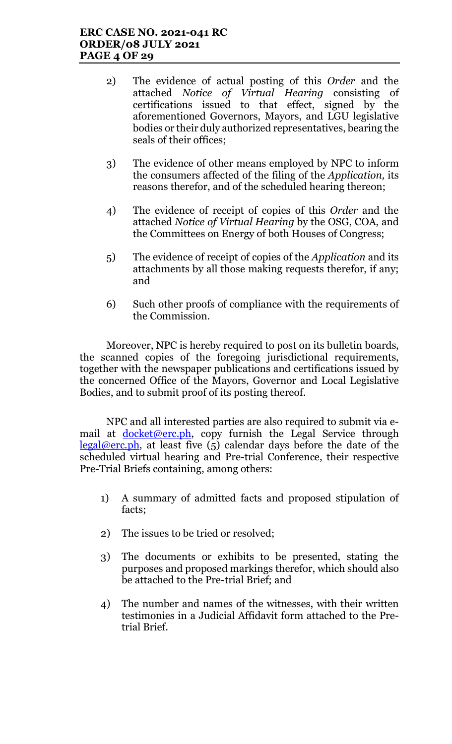- 2) The evidence of actual posting of this Order and the attached Notice of Virtual Hearing consisting of certifications issued to that effect, signed by the aforementioned Governors, Mayors, and LGU legislative bodies or their duly authorized representatives, bearing the seals of their offices;
- 3) The evidence of other means employed by NPC to inform the consumers affected of the filing of the Application, its reasons therefor, and of the scheduled hearing thereon;
- 4) The evidence of receipt of copies of this Order and the attached Notice of Virtual Hearing by the OSG, COA, and the Committees on Energy of both Houses of Congress;
- 5) The evidence of receipt of copies of the Application and its attachments by all those making requests therefor, if any; and
- 6) Such other proofs of compliance with the requirements of the Commission.

Moreover, NPC is hereby required to post on its bulletin boards, the scanned copies of the foregoing jurisdictional requirements, together with the newspaper publications and certifications issued by the concerned Office of the Mayors, Governor and Local Legislative Bodies, and to submit proof of its posting thereof.

NPC and all interested parties are also required to submit via email at docket@erc.ph, copy furnish the Legal Service through  $legal@erc.ph$ , at least five (5) calendar days before the date of the scheduled virtual hearing and Pre-trial Conference, their respective Pre-Trial Briefs containing, among others:

- 1) A summary of admitted facts and proposed stipulation of facts;
- 2) The issues to be tried or resolved;
- 3) The documents or exhibits to be presented, stating the purposes and proposed markings therefor, which should also be attached to the Pre-trial Brief; and
- 4) The number and names of the witnesses, with their written testimonies in a Judicial Affidavit form attached to the Pretrial Brief.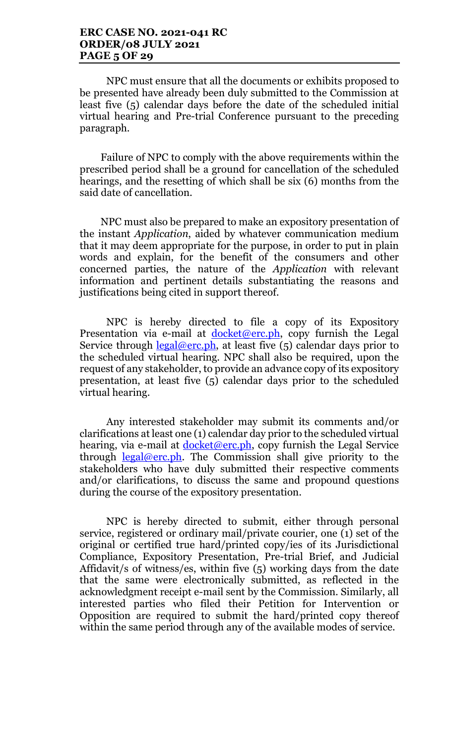#### ERC CASE NO. 2021-041 RC ORDER/08 JULY 2021 PAGE 5 OF 29

NPC must ensure that all the documents or exhibits proposed to be presented have already been duly submitted to the Commission at least five (5) calendar days before the date of the scheduled initial virtual hearing and Pre-trial Conference pursuant to the preceding paragraph.

Failure of NPC to comply with the above requirements within the prescribed period shall be a ground for cancellation of the scheduled hearings, and the resetting of which shall be six (6) months from the said date of cancellation.

NPC must also be prepared to make an expository presentation of the instant Application, aided by whatever communication medium that it may deem appropriate for the purpose, in order to put in plain words and explain, for the benefit of the consumers and other concerned parties, the nature of the Application with relevant information and pertinent details substantiating the reasons and justifications being cited in support thereof.

NPC is hereby directed to file a copy of its Expository Presentation via e-mail at  $d$ ocket@erc.ph, copy furnish the Legal Service through  $\text{legal@erc.ph.}$  at least five (5) calendar days prior to the scheduled virtual hearing. NPC shall also be required, upon the request of any stakeholder, to provide an advance copy of its expository presentation, at least five (5) calendar days prior to the scheduled virtual hearing.

Any interested stakeholder may submit its comments and/or clarifications at least one (1) calendar day prior to the scheduled virtual hearing, via e-mail at <u>docket@erc.ph</u>, copy furnish the Legal Service through  $\text{legal@erc.ph.}$  The Commission shall give priority to the stakeholders who have duly submitted their respective comments and/or clarifications, to discuss the same and propound questions during the course of the expository presentation.

NPC is hereby directed to submit, either through personal service, registered or ordinary mail/private courier, one (1) set of the original or certified true hard/printed copy/ies of its Jurisdictional Compliance, Expository Presentation, Pre-trial Brief, and Judicial Affidavit/s of witness/es, within five (5) working days from the date that the same were electronically submitted, as reflected in the acknowledgment receipt e-mail sent by the Commission. Similarly, all interested parties who filed their Petition for Intervention or Opposition are required to submit the hard/printed copy thereof within the same period through any of the available modes of service.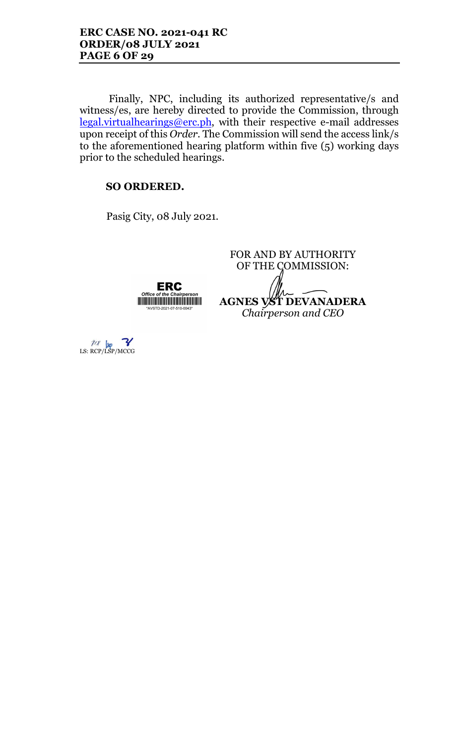Finally, NPC, including its authorized representative/s and witness/es, are hereby directed to provide the Commission, through legal.virtualhearings@erc.ph, with their respective e-mail addresses upon receipt of this Order. The Commission will send the access link/s to the aforementioned hearing platform within five (5) working days prior to the scheduled hearings.

# SO ORDERED.

Offi

Pasig City, 08 July 2021.

ERC

FOR AND BY AUTHORITY OF THE COMMISSION: AGNES VST DEVANADERA <u> Harry Harry Harry Harry Harry Harry Harry Harry Harry Harry Harry Harry Harry Harry Harry Harry Harry Harry Harry Harry Harry Harry Harry Harry Harry Harry Harry Harry Harry Harry Harry Harry Harry Harry Harry Harry Harr</u> Chairperson and CEO

 $\frac{p}{p}$  Lg  $\frac{p}{p}$ <br>LS: RCP/LSP/MCCG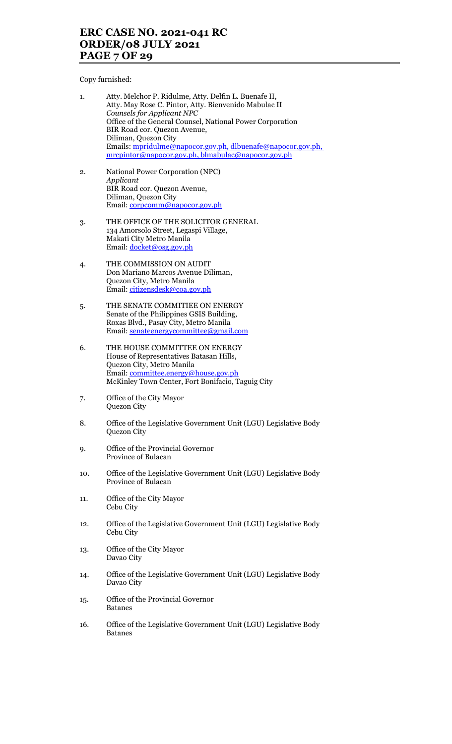# ERC CASE NO. 2021-041 RC ORDER/08 JULY 2021 PAGE 7 OF 29

Copy furnished:

| 1. | Atty. Melchor P. Ridulme, Atty. Delfin L. Buenafe II,       |
|----|-------------------------------------------------------------|
|    | Atty. May Rose C. Pintor, Atty. Bienvenido Mabulac II       |
|    | Counsels for Applicant NPC                                  |
|    | Office of the General Counsel, National Power Corporation   |
|    | BIR Road cor. Quezon Avenue,                                |
|    | Diliman, Quezon City                                        |
|    | Emails: mpridulme@napocor.gov.ph, dlbuenafe@napocor.gov.ph, |
|    | mrcpintor@napocor.gov.ph, blmabulac@napocor.gov.ph          |
|    |                                                             |

- 2. National Power Corporation (NPC) Applicant BIR Road cor. Quezon Avenue, Diliman, Quezon City Email: corpcomm@napocor.gov.ph
- 3. THE OFFICE OF THE SOLICITOR GENERAL 134 Amorsolo Street, Legaspi Village, Makati City Metro Manila Email: <u>docket@osg.gov.ph</u>
- 4. THE COMMISSION ON AUDIT Don Mariano Marcos Avenue Diliman, Quezon City, Metro Manila Email: citizensdesk@coa.gov.ph
- 5. THE SENATE COMMITIEE ON ENERGY Senate of the Philippines GSIS Building, Roxas Blvd., Pasay City, Metro Manila Email: senateenergycommittee@gmail.com
- 6. THE HOUSE COMMITTEE ON ENERGY House of Representatives Batasan Hills, Quezon City, Metro Manila Email: committee.energy@house.gov.ph McKinley Town Center, Fort Bonifacio, Taguig City
- 7. Office of the City Mayor Quezon City
- 8. Office of the Legislative Government Unit (LGU) Legislative Body Quezon City
- 9. Office of the Provincial Governor Province of Bulacan
- 10. Office of the Legislative Government Unit (LGU) Legislative Body Province of Bulacan
- 11. Office of the City Mayor Cebu City
- 12. Office of the Legislative Government Unit (LGU) Legislative Body Cebu City
- 13. Office of the City Mayor Davao City
- 14. Office of the Legislative Government Unit (LGU) Legislative Body Davao City
- 15. Office of the Provincial Governor Batanes
- 16. Office of the Legislative Government Unit (LGU) Legislative Body Batanes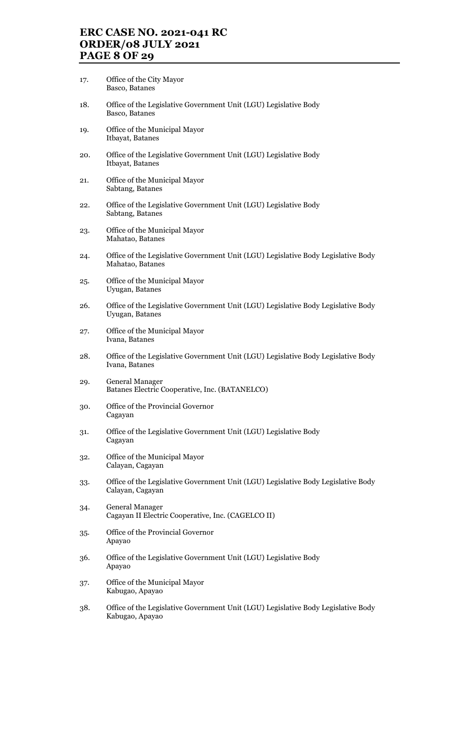# ERC CASE NO. 2021-041 RC ORDER/08 JULY 2021 PAGE 8 OF 29

- 17. Office of the City Mayor Basco, Batanes
- 18. Office of the Legislative Government Unit (LGU) Legislative Body Basco, Batanes
- 19. Office of the Municipal Mayor Itbayat, Batanes
- 20. Office of the Legislative Government Unit (LGU) Legislative Body Itbayat, Batanes
- 21. Office of the Municipal Mayor Sabtang, Batanes
- 22. Office of the Legislative Government Unit (LGU) Legislative Body Sabtang, Batanes
- 23. Office of the Municipal Mayor Mahatao, Batanes
- 24. Office of the Legislative Government Unit (LGU) Legislative Body Legislative Body Mahatao, Batanes
- 25. Office of the Municipal Mayor Uyugan, Batanes
- 26. Office of the Legislative Government Unit (LGU) Legislative Body Legislative Body Uyugan, Batanes
- 27. Office of the Municipal Mayor Ivana, Batanes
- 28. Office of the Legislative Government Unit (LGU) Legislative Body Legislative Body Ivana, Batanes
- 29. General Manager Batanes Electric Cooperative, Inc. (BATANELCO)
- 30. Office of the Provincial Governor Cagayan
- 31. Office of the Legislative Government Unit (LGU) Legislative Body Cagayan
- 32. Office of the Municipal Mayor Calayan, Cagayan
- 33. Office of the Legislative Government Unit (LGU) Legislative Body Legislative Body Calayan, Cagayan
- 34. General Manager Cagayan II Electric Cooperative, Inc. (CAGELCO II)
- 35. Office of the Provincial Governor Apayao
- 36. Office of the Legislative Government Unit (LGU) Legislative Body Apayao
- 37. Office of the Municipal Mayor Kabugao, Apayao
- 38. Office of the Legislative Government Unit (LGU) Legislative Body Legislative Body Kabugao, Apayao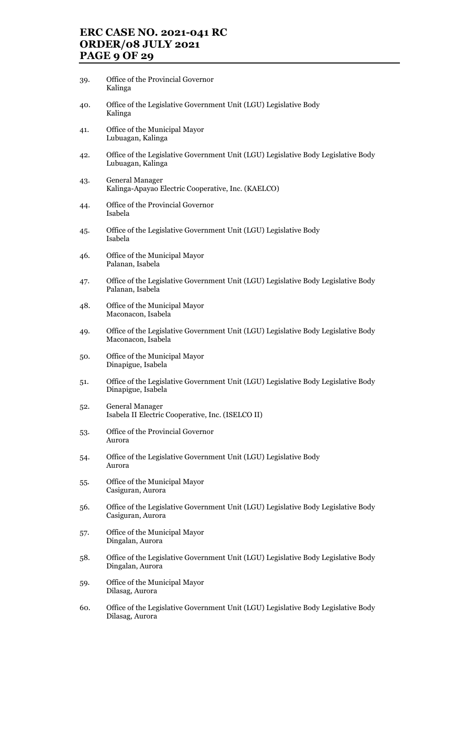# ERC CASE NO. 2021-041 RC ORDER/08 JULY 2021 PAGE 9 OF 29

- 39. Office of the Provincial Governor Kalinga
- 40. Office of the Legislative Government Unit (LGU) Legislative Body Kalinga
- 41. Office of the Municipal Mayor Lubuagan, Kalinga
- 42. Office of the Legislative Government Unit (LGU) Legislative Body Legislative Body Lubuagan, Kalinga
- 43. General Manager Kalinga-Apayao Electric Cooperative, Inc. (KAELCO)
- 44. Office of the Provincial Governor Isabela
- 45. Office of the Legislative Government Unit (LGU) Legislative Body Isabela
- 46. Office of the Municipal Mayor Palanan, Isabela
- 47. Office of the Legislative Government Unit (LGU) Legislative Body Legislative Body Palanan, Isabela
- 48. Office of the Municipal Mayor Maconacon, Isabela
- 49. Office of the Legislative Government Unit (LGU) Legislative Body Legislative Body Maconacon, Isabela
- 50. Office of the Municipal Mayor Dinapigue, Isabela
- 51. Office of the Legislative Government Unit (LGU) Legislative Body Legislative Body Dinapigue, Isabela
- 52. General Manager Isabela II Electric Cooperative, Inc. (ISELCO II)
- 53. Office of the Provincial Governor Aurora
- 54. Office of the Legislative Government Unit (LGU) Legislative Body Aurora
- 55. Office of the Municipal Mayor Casiguran, Aurora
- 56. Office of the Legislative Government Unit (LGU) Legislative Body Legislative Body Casiguran, Aurora
- 57. Office of the Municipal Mayor Dingalan, Aurora
- 58. Office of the Legislative Government Unit (LGU) Legislative Body Legislative Body Dingalan, Aurora
- 59. Office of the Municipal Mayor Dilasag, Aurora
- 60. Office of the Legislative Government Unit (LGU) Legislative Body Legislative Body Dilasag, Aurora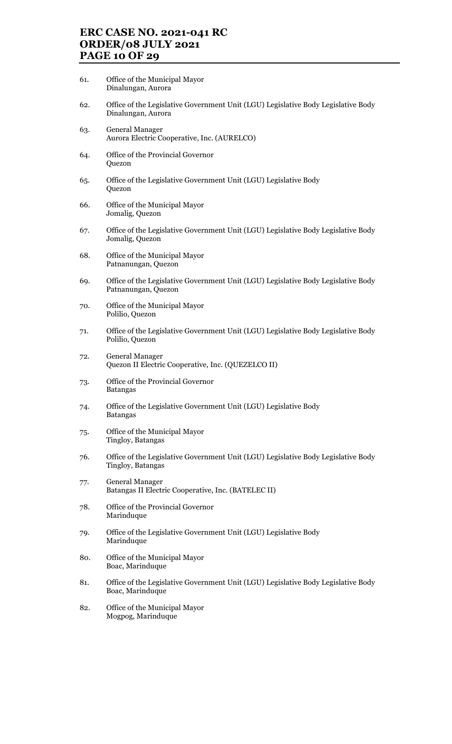# ERC CASE NO. 2021-041 RC ORDER/08 JULY 2021 PAGE 10 OF 29

- 61. Office of the Municipal Mayor Dinalungan, Aurora
- 62. Office of the Legislative Government Unit (LGU) Legislative Body Legislative Body Dinalungan, Aurora
- 63. General Manager Aurora Electric Cooperative, Inc. (AURELCO)
- 64. Office of the Provincial Governor Quezon
- 65. Office of the Legislative Government Unit (LGU) Legislative Body Quezon
- 66. Office of the Municipal Mayor Jomalig, Quezon
- 67. Office of the Legislative Government Unit (LGU) Legislative Body Legislative Body Jomalig, Quezon
- 68. Office of the Municipal Mayor Patnanungan, Quezon
- 69. Office of the Legislative Government Unit (LGU) Legislative Body Legislative Body Patnanungan, Quezon
- 70. Office of the Municipal Mayor Polilio, Quezon
- 71. Office of the Legislative Government Unit (LGU) Legislative Body Legislative Body Polilio, Quezon
- 72. General Manager Quezon II Electric Cooperative, Inc. (QUEZELCO II)
- 73. Office of the Provincial Governor Batangas
- 74. Office of the Legislative Government Unit (LGU) Legislative Body Batangas
- 75. Office of the Municipal Mayor Tingloy, Batangas
- 76. Office of the Legislative Government Unit (LGU) Legislative Body Legislative Body Tingloy, Batangas
- 77. General Manager Batangas II Electric Cooperative, Inc. (BATELEC II)
- 78. Office of the Provincial Governor Marinduque
- 79. Office of the Legislative Government Unit (LGU) Legislative Body Marinduque
- 80. Office of the Municipal Mayor Boac, Marinduque
- 81. Office of the Legislative Government Unit (LGU) Legislative Body Legislative Body Boac, Marinduque
- 82. Office of the Municipal Mayor Mogpog, Marinduque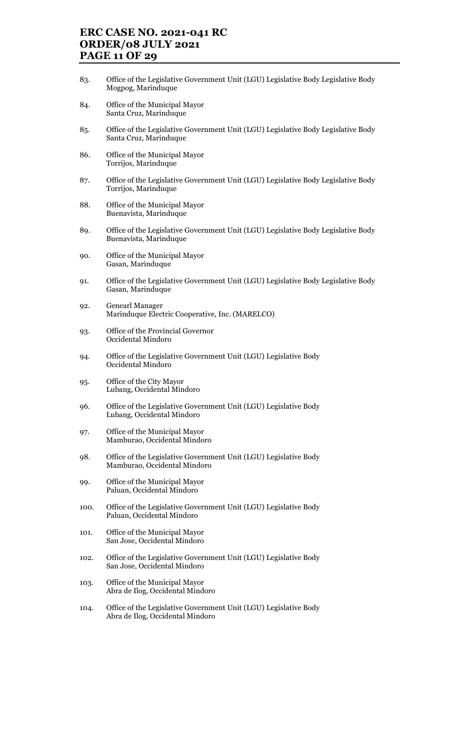# ERC CASE NO. 2021-041 RC ORDER/08 JULY 2021 PAGE 11 OF 29

- 83. Office of the Legislative Government Unit (LGU) Legislative Body Legislative Body Mogpog, Marinduque
- 84. Office of the Municipal Mayor Santa Cruz, Marinduque
- 85. Office of the Legislative Government Unit (LGU) Legislative Body Legislative Body Santa Cruz, Marinduque
- 86. Office of the Municipal Mayor Torrijos, Marinduque
- 87. Office of the Legislative Government Unit (LGU) Legislative Body Legislative Body Torrijos, Marinduque
- 88. Office of the Municipal Mayor Buenavista, Marinduque
- 89. Office of the Legislative Government Unit (LGU) Legislative Body Legislative Body Buenavista, Marinduque
- 90. Office of the Municipal Mayor Gasan, Marinduque
- 91. Office of the Legislative Government Unit (LGU) Legislative Body Legislative Body Gasan, Marinduque
- 92. Genearl Manager Marinduque Electric Cooperative, Inc. (MARELCO)
- 93. Office of the Provincial Governor Occidental Mindoro
- 94. Office of the Legislative Government Unit (LGU) Legislative Body Occidental Mindoro
- 95. Office of the City Mayor Lubang, Occidental Mindoro
- 96. Office of the Legislative Government Unit (LGU) Legislative Body Lubang, Occidental Mindoro
- 97. Office of the Municipal Mayor Mamburao, Occidental Mindoro
- 98. Office of the Legislative Government Unit (LGU) Legislative Body Mamburao, Occidental Mindoro
- 99. Office of the Municipal Mayor Paluan, Occidental Mindoro
- 100. Office of the Legislative Government Unit (LGU) Legislative Body Paluan, Occidental Mindoro
- 101. Office of the Municipal Mayor San Jose, Occidental Mindoro
- 102. Office of the Legislative Government Unit (LGU) Legislative Body San Jose, Occidental Mindoro
- 103. Office of the Municipal Mayor Abra de Ilog, Occidental Mindoro
- 104. Office of the Legislative Government Unit (LGU) Legislative Body Abra de Ilog, Occidental Mindoro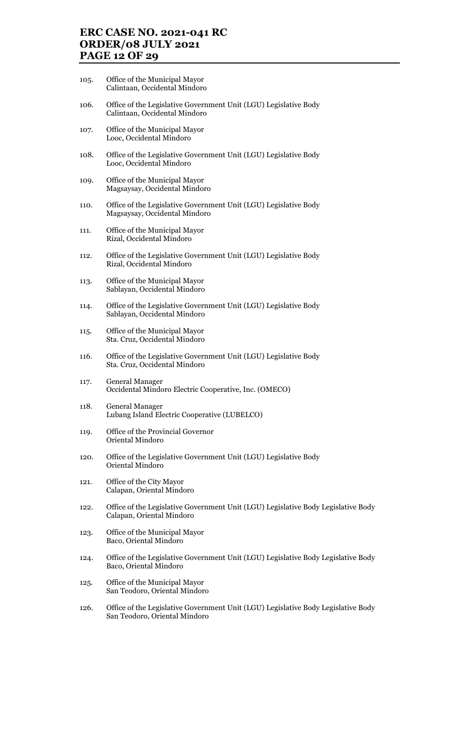## ERC CASE NO. 2021-041 RC ORDER/08 JULY 2021 PAGE 12 OF 29

- 105. Office of the Municipal Mayor Calintaan, Occidental Mindoro
- 106. Office of the Legislative Government Unit (LGU) Legislative Body Calintaan, Occidental Mindoro
- 107. Office of the Municipal Mayor Looc, Occidental Mindoro
- 108. Office of the Legislative Government Unit (LGU) Legislative Body Looc, Occidental Mindoro
- 109. Office of the Municipal Mayor Magsaysay, Occidental Mindoro
- 110. Office of the Legislative Government Unit (LGU) Legislative Body Magsaysay, Occidental Mindoro
- 111. Office of the Municipal Mayor Rizal, Occidental Mindoro
- 112. Office of the Legislative Government Unit (LGU) Legislative Body Rizal, Occidental Mindoro
- 113. Office of the Municipal Mayor Sablayan, Occidental Mindoro
- 114. Office of the Legislative Government Unit (LGU) Legislative Body Sablayan, Occidental Mindoro
- 115. Office of the Municipal Mayor Sta. Cruz, Occidental Mindoro
- 116. Office of the Legislative Government Unit (LGU) Legislative Body Sta. Cruz, Occidental Mindoro
- 117. General Manager Occidental Mindoro Electric Cooperative, Inc. (OMECO)
- 118. General Manager Lubang Island Electric Cooperative (LUBELCO)
- 119. Office of the Provincial Governor Oriental Mindoro
- 120. Office of the Legislative Government Unit (LGU) Legislative Body Oriental Mindoro
- 121. Office of the City Mayor Calapan, Oriental Mindoro
- 122. Office of the Legislative Government Unit (LGU) Legislative Body Legislative Body Calapan, Oriental Mindoro
- 123. Office of the Municipal Mayor Baco, Oriental Mindoro
- 124. Office of the Legislative Government Unit (LGU) Legislative Body Legislative Body Baco, Oriental Mindoro
- 125. Office of the Municipal Mayor San Teodoro, Oriental Mindoro
- 126. Office of the Legislative Government Unit (LGU) Legislative Body Legislative Body San Teodoro, Oriental Mindoro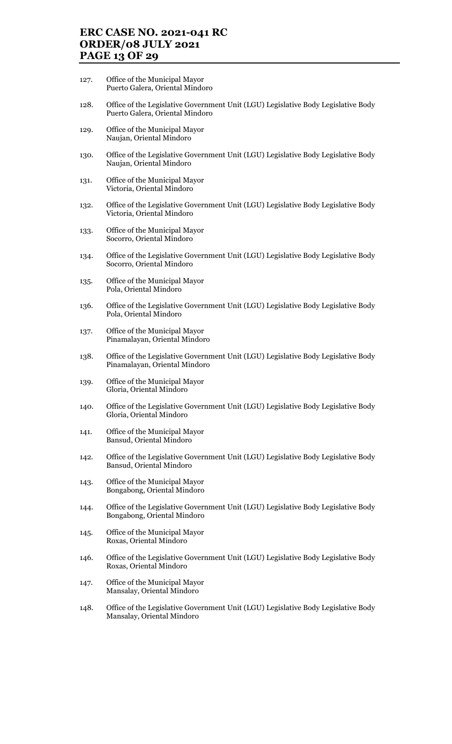# ERC CASE NO. 2021-041 RC ORDER/08 JULY 2021 PAGE 13 OF 29

- 127. Office of the Municipal Mayor Puerto Galera, Oriental Mindoro
- 128. Office of the Legislative Government Unit (LGU) Legislative Body Legislative Body Puerto Galera, Oriental Mindoro
- 129. Office of the Municipal Mayor Naujan, Oriental Mindoro
- 130. Office of the Legislative Government Unit (LGU) Legislative Body Legislative Body Naujan, Oriental Mindoro
- 131. Office of the Municipal Mayor Victoria, Oriental Mindoro
- 132. Office of the Legislative Government Unit (LGU) Legislative Body Legislative Body Victoria, Oriental Mindoro
- 133. Office of the Municipal Mayor Socorro, Oriental Mindoro
- 134. Office of the Legislative Government Unit (LGU) Legislative Body Legislative Body Socorro, Oriental Mindoro
- 135. Office of the Municipal Mayor Pola, Oriental Mindoro
- 136. Office of the Legislative Government Unit (LGU) Legislative Body Legislative Body Pola, Oriental Mindoro
- 137. Office of the Municipal Mayor Pinamalayan, Oriental Mindoro
- 138. Office of the Legislative Government Unit (LGU) Legislative Body Legislative Body Pinamalayan, Oriental Mindoro
- 139. Office of the Municipal Mayor Gloria, Oriental Mindoro
- 140. Office of the Legislative Government Unit (LGU) Legislative Body Legislative Body Gloria, Oriental Mindoro
- 141. Office of the Municipal Mayor Bansud, Oriental Mindoro
- 142. Office of the Legislative Government Unit (LGU) Legislative Body Legislative Body Bansud, Oriental Mindoro
- 143. Office of the Municipal Mayor Bongabong, Oriental Mindoro
- 144. Office of the Legislative Government Unit (LGU) Legislative Body Legislative Body Bongabong, Oriental Mindoro
- 145. Office of the Municipal Mayor Roxas, Oriental Mindoro
- 146. Office of the Legislative Government Unit (LGU) Legislative Body Legislative Body Roxas, Oriental Mindoro
- 147. Office of the Municipal Mayor Mansalay, Oriental Mindoro
- 148. Office of the Legislative Government Unit (LGU) Legislative Body Legislative Body Mansalay, Oriental Mindoro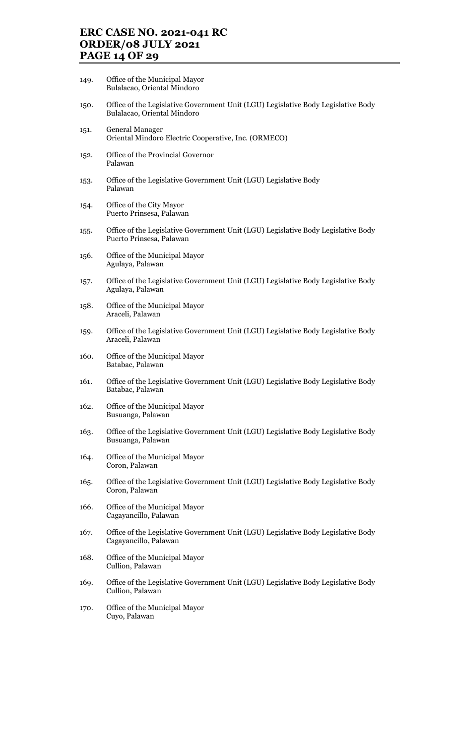# ERC CASE NO. 2021-041 RC ORDER/08 JULY 2021 PAGE 14 OF 29

- 149. Office of the Municipal Mayor Bulalacao, Oriental Mindoro
- 150. Office of the Legislative Government Unit (LGU) Legislative Body Legislative Body Bulalacao, Oriental Mindoro
- 151. General Manager Oriental Mindoro Electric Cooperative, Inc. (ORMECO)
- 152. Office of the Provincial Governor Palawan
- 153. Office of the Legislative Government Unit (LGU) Legislative Body Palawan
- 154. Office of the City Mayor Puerto Prinsesa, Palawan
- 155. Office of the Legislative Government Unit (LGU) Legislative Body Legislative Body Puerto Prinsesa, Palawan
- 156. Office of the Municipal Mayor Agulaya, Palawan
- 157. Office of the Legislative Government Unit (LGU) Legislative Body Legislative Body Agulaya, Palawan
- 158. Office of the Municipal Mayor Araceli, Palawan
- 159. Office of the Legislative Government Unit (LGU) Legislative Body Legislative Body Araceli, Palawan
- 160. Office of the Municipal Mayor Batabac, Palawan
- 161. Office of the Legislative Government Unit (LGU) Legislative Body Legislative Body Batabac, Palawan
- 162. Office of the Municipal Mayor Busuanga, Palawan
- 163. Office of the Legislative Government Unit (LGU) Legislative Body Legislative Body Busuanga, Palawan
- 164. Office of the Municipal Mayor Coron, Palawan
- 165. Office of the Legislative Government Unit (LGU) Legislative Body Legislative Body Coron, Palawan
- 166. Office of the Municipal Mayor Cagayancillo, Palawan
- 167. Office of the Legislative Government Unit (LGU) Legislative Body Legislative Body Cagayancillo, Palawan
- 168. Office of the Municipal Mayor Cullion, Palawan
- 169. Office of the Legislative Government Unit (LGU) Legislative Body Legislative Body Cullion, Palawan
- 170. Office of the Municipal Mayor Cuyo, Palawan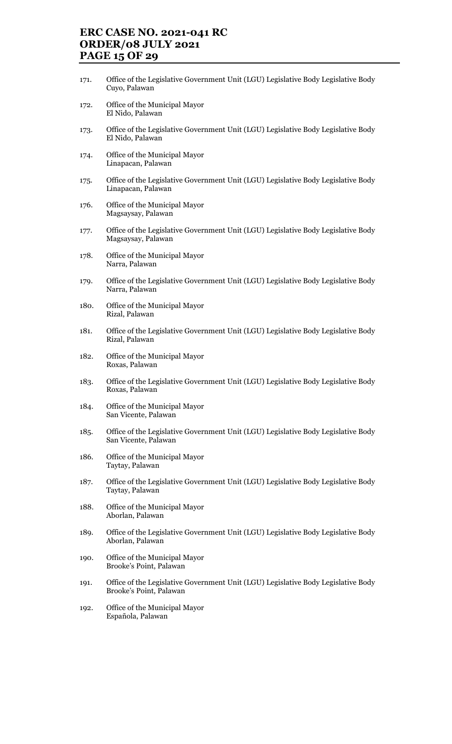# ERC CASE NO. 2021-041 RC ORDER/08 JULY 2021 PAGE 15 OF 29

- 171. Office of the Legislative Government Unit (LGU) Legislative Body Legislative Body Cuyo, Palawan
- 172. Office of the Municipal Mayor El Nido, Palawan
- 173. Office of the Legislative Government Unit (LGU) Legislative Body Legislative Body El Nido, Palawan
- 174. Office of the Municipal Mayor Linapacan, Palawan
- 175. Office of the Legislative Government Unit (LGU) Legislative Body Legislative Body Linapacan, Palawan
- 176. Office of the Municipal Mayor Magsaysay, Palawan
- 177. Office of the Legislative Government Unit (LGU) Legislative Body Legislative Body Magsaysay, Palawan
- 178. Office of the Municipal Mayor Narra, Palawan
- 179. Office of the Legislative Government Unit (LGU) Legislative Body Legislative Body Narra, Palawan
- 180. Office of the Municipal Mayor Rizal, Palawan
- 181. Office of the Legislative Government Unit (LGU) Legislative Body Legislative Body Rizal, Palawan
- 182. Office of the Municipal Mayor Roxas, Palawan
- 183. Office of the Legislative Government Unit (LGU) Legislative Body Legislative Body Roxas, Palawan
- 184. Office of the Municipal Mayor San Vicente, Palawan
- 185. Office of the Legislative Government Unit (LGU) Legislative Body Legislative Body San Vicente, Palawan
- 186. Office of the Municipal Mayor Taytay, Palawan
- 187. Office of the Legislative Government Unit (LGU) Legislative Body Legislative Body Taytay, Palawan
- 188. Office of the Municipal Mayor Aborlan, Palawan
- 189. Office of the Legislative Government Unit (LGU) Legislative Body Legislative Body Aborlan, Palawan
- 190. Office of the Municipal Mayor Brooke's Point, Palawan
- 191. Office of the Legislative Government Unit (LGU) Legislative Body Legislative Body Brooke's Point, Palawan
- 192. Office of the Municipal Mayor Española, Palawan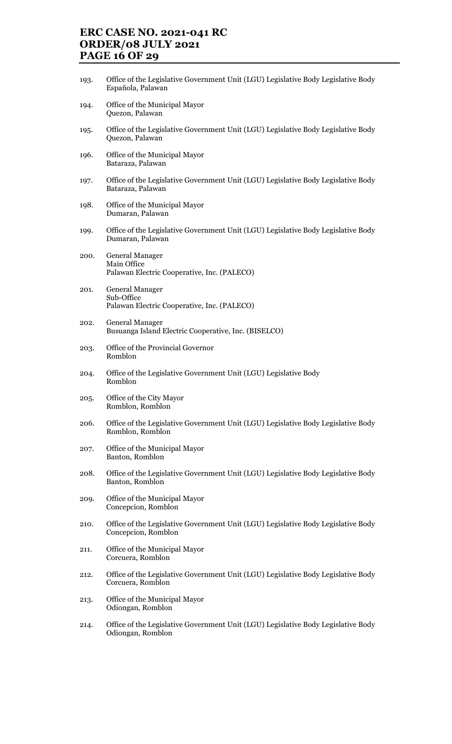# ERC CASE NO. 2021-041 RC ORDER/08 JULY 2021 PAGE 16 OF 29

- 193. Office of the Legislative Government Unit (LGU) Legislative Body Legislative Body Española, Palawan
- 194. Office of the Municipal Mayor Quezon, Palawan
- 195. Office of the Legislative Government Unit (LGU) Legislative Body Legislative Body Quezon, Palawan
- 196. Office of the Municipal Mayor Bataraza, Palawan
- 197. Office of the Legislative Government Unit (LGU) Legislative Body Legislative Body Bataraza, Palawan
- 198. Office of the Municipal Mayor Dumaran, Palawan
- 199. Office of the Legislative Government Unit (LGU) Legislative Body Legislative Body Dumaran, Palawan
- 200. General Manager Main Office Palawan Electric Cooperative, Inc. (PALECO)
- 201. General Manager Sub-Office Palawan Electric Cooperative, Inc. (PALECO)
- 202. General Manager Busuanga Island Electric Cooperative, Inc. (BISELCO)
- 203. Office of the Provincial Governor Romblon
- 204. Office of the Legislative Government Unit (LGU) Legislative Body Romblon
- 205. Office of the City Mayor Romblon, Romblon
- 206. Office of the Legislative Government Unit (LGU) Legislative Body Legislative Body Romblon, Romblon
- 207. Office of the Municipal Mayor Banton, Romblon
- 208. Office of the Legislative Government Unit (LGU) Legislative Body Legislative Body Banton, Romblon
- 209. Office of the Municipal Mayor Concepcion, Romblon
- 210. Office of the Legislative Government Unit (LGU) Legislative Body Legislative Body Concepcion, Romblon
- 211. Office of the Municipal Mayor Corcuera, Romblon
- 212. Office of the Legislative Government Unit (LGU) Legislative Body Legislative Body Corcuera, Romblon
- 213. Office of the Municipal Mayor Odiongan, Romblon
- 214. Office of the Legislative Government Unit (LGU) Legislative Body Legislative Body Odiongan, Romblon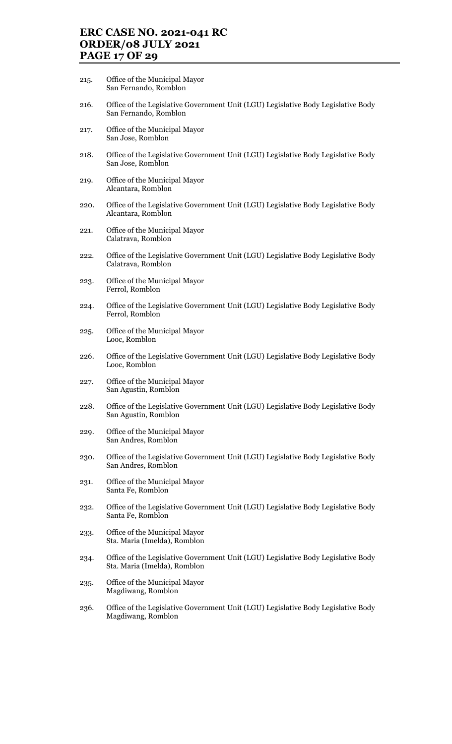## ERC CASE NO. 2021-041 RC ORDER/08 JULY 2021 PAGE 17 OF 29

- 215. Office of the Municipal Mayor San Fernando, Romblon
- 216. Office of the Legislative Government Unit (LGU) Legislative Body Legislative Body San Fernando, Romblon
- 217. Office of the Municipal Mayor San Jose, Romblon
- 218. Office of the Legislative Government Unit (LGU) Legislative Body Legislative Body San Jose, Romblon
- 219. Office of the Municipal Mayor Alcantara, Romblon
- 220. Office of the Legislative Government Unit (LGU) Legislative Body Legislative Body Alcantara, Romblon
- 221. Office of the Municipal Mayor Calatrava, Romblon
- 222. Office of the Legislative Government Unit (LGU) Legislative Body Legislative Body Calatrava, Romblon
- 223. Office of the Municipal Mayor Ferrol, Romblon
- 224. Office of the Legislative Government Unit (LGU) Legislative Body Legislative Body Ferrol, Romblon
- 225. Office of the Municipal Mayor Looc, Romblon
- 226. Office of the Legislative Government Unit (LGU) Legislative Body Legislative Body Looc, Romblon
- 227. Office of the Municipal Mayor San Agustin, Romblon
- 228. Office of the Legislative Government Unit (LGU) Legislative Body Legislative Body San Agustin, Romblon
- 229. Office of the Municipal Mayor San Andres, Romblon
- 230. Office of the Legislative Government Unit (LGU) Legislative Body Legislative Body San Andres, Romblon
- 231. Office of the Municipal Mayor Santa Fe, Romblon
- 232. Office of the Legislative Government Unit (LGU) Legislative Body Legislative Body Santa Fe, Romblon
- 233. Office of the Municipal Mayor Sta. Maria (Imelda), Romblon
- 234. Office of the Legislative Government Unit (LGU) Legislative Body Legislative Body Sta. Maria (Imelda), Romblon
- 235. Office of the Municipal Mayor Magdiwang, Romblon
- 236. Office of the Legislative Government Unit (LGU) Legislative Body Legislative Body Magdiwang, Romblon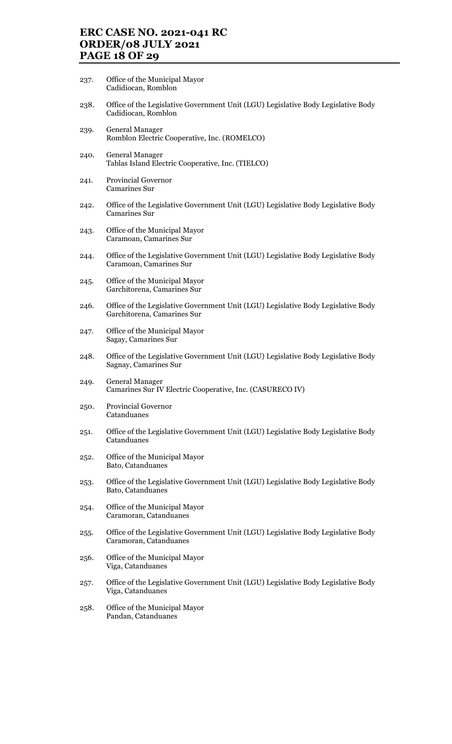# ERC CASE NO. 2021-041 RC ORDER/08 JULY 2021 PAGE 18 OF 29

- 237. Office of the Municipal Mayor Cadidiocan, Romblon
- 238. Office of the Legislative Government Unit (LGU) Legislative Body Legislative Body Cadidiocan, Romblon
- 239. General Manager Romblon Electric Cooperative, Inc. (ROMELCO)
- 240. General Manager Tablas Island Electric Cooperative, Inc. (TIELCO)
- 241. Provincial Governor Camarines Sur
- 242. Office of the Legislative Government Unit (LGU) Legislative Body Legislative Body Camarines Sur
- 243. Office of the Municipal Mayor Caramoan, Camarines Sur
- 244. Office of the Legislative Government Unit (LGU) Legislative Body Legislative Body Caramoan, Camarines Sur
- 245. Office of the Municipal Mayor Garchitorena, Camarines Sur
- 246. Office of the Legislative Government Unit (LGU) Legislative Body Legislative Body Garchitorena, Camarines Sur
- 247. Office of the Municipal Mayor Sagay, Camarines Sur
- 248. Office of the Legislative Government Unit (LGU) Legislative Body Legislative Body Sagnay, Camarines Sur
- 249. General Manager Camarines Sur IV Electric Cooperative, Inc. (CASURECO IV)
- 250. Provincial Governor Catanduanes
- 251. Office of the Legislative Government Unit (LGU) Legislative Body Legislative Body Catanduanes
- 252. Office of the Municipal Mayor Bato, Catanduanes
- 253. Office of the Legislative Government Unit (LGU) Legislative Body Legislative Body Bato, Catanduanes
- 254. Office of the Municipal Mayor Caramoran, Catanduanes
- 255. Office of the Legislative Government Unit (LGU) Legislative Body Legislative Body Caramoran, Catanduanes
- 256. Office of the Municipal Mayor Viga, Catanduanes
- 257. Office of the Legislative Government Unit (LGU) Legislative Body Legislative Body Viga, Catanduanes
- 258. Office of the Municipal Mayor Pandan, Catanduanes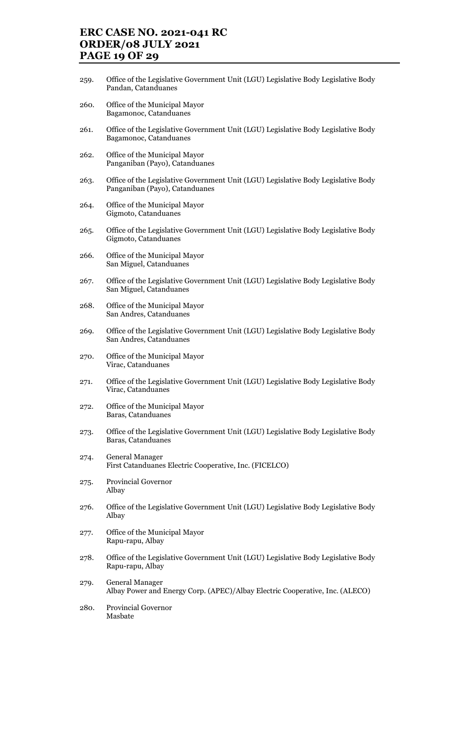## ERC CASE NO. 2021-041 RC ORDER/08 JULY 2021 PAGE 19 OF 29

- 259. Office of the Legislative Government Unit (LGU) Legislative Body Legislative Body Pandan, Catanduanes
- 260. Office of the Municipal Mayor Bagamonoc, Catanduanes
- 261. Office of the Legislative Government Unit (LGU) Legislative Body Legislative Body Bagamonoc, Catanduanes
- 262. Office of the Municipal Mayor Panganiban (Payo), Catanduanes
- 263. Office of the Legislative Government Unit (LGU) Legislative Body Legislative Body Panganiban (Payo), Catanduanes
- 264. Office of the Municipal Mayor Gigmoto, Catanduanes
- 265. Office of the Legislative Government Unit (LGU) Legislative Body Legislative Body Gigmoto, Catanduanes
- 266. Office of the Municipal Mayor San Miguel, Catanduanes
- 267. Office of the Legislative Government Unit (LGU) Legislative Body Legislative Body San Miguel, Catanduanes
- 268. Office of the Municipal Mayor San Andres, Catanduanes
- 269. Office of the Legislative Government Unit (LGU) Legislative Body Legislative Body San Andres, Catanduanes
- 270. Office of the Municipal Mayor Virac, Catanduanes
- 271. Office of the Legislative Government Unit (LGU) Legislative Body Legislative Body Virac, Catanduanes
- 272. Office of the Municipal Mayor Baras, Catanduanes
- 273. Office of the Legislative Government Unit (LGU) Legislative Body Legislative Body Baras, Catanduanes
- 274. General Manager First Catanduanes Electric Cooperative, Inc. (FICELCO)
- 275. Provincial Governor Albay
- 276. Office of the Legislative Government Unit (LGU) Legislative Body Legislative Body Albay
- 277. Office of the Municipal Mayor Rapu-rapu, Albay
- 278. Office of the Legislative Government Unit (LGU) Legislative Body Legislative Body Rapu-rapu, Albay
- 279. General Manager Albay Power and Energy Corp. (APEC)/Albay Electric Cooperative, Inc. (ALECO)
- 280. Provincial Governor Masbate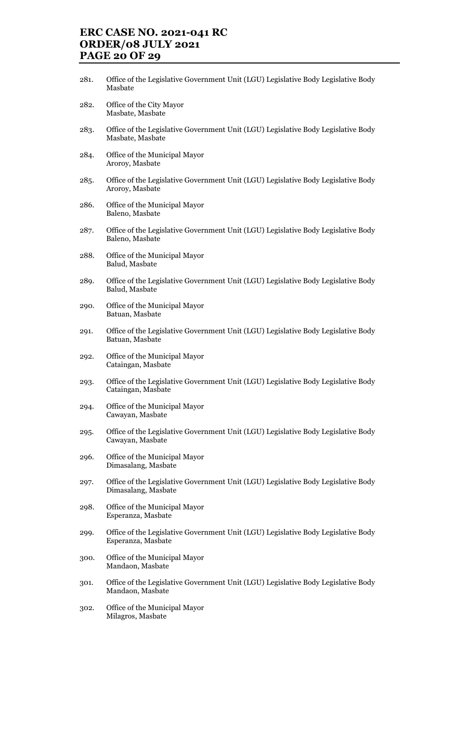# ERC CASE NO. 2021-041 RC ORDER/08 JULY 2021 PAGE 20 OF 29

- 281. Office of the Legislative Government Unit (LGU) Legislative Body Legislative Body Masbate
- 282. Office of the City Mayor Masbate, Masbate
- 283. Office of the Legislative Government Unit (LGU) Legislative Body Legislative Body Masbate, Masbate
- 284. Office of the Municipal Mayor Aroroy, Masbate
- 285. Office of the Legislative Government Unit (LGU) Legislative Body Legislative Body Aroroy, Masbate
- 286. Office of the Municipal Mayor Baleno, Masbate
- 287. Office of the Legislative Government Unit (LGU) Legislative Body Legislative Body Baleno, Masbate
- 288. Office of the Municipal Mayor Balud, Masbate
- 289. Office of the Legislative Government Unit (LGU) Legislative Body Legislative Body Balud, Masbate
- 290. Office of the Municipal Mayor Batuan, Masbate
- 291. Office of the Legislative Government Unit (LGU) Legislative Body Legislative Body Batuan, Masbate
- 292. Office of the Municipal Mayor Cataingan, Masbate
- 293. Office of the Legislative Government Unit (LGU) Legislative Body Legislative Body Cataingan, Masbate
- 294. Office of the Municipal Mayor Cawayan, Masbate
- 295. Office of the Legislative Government Unit (LGU) Legislative Body Legislative Body Cawayan, Masbate
- 296. Office of the Municipal Mayor Dimasalang, Masbate
- 297. Office of the Legislative Government Unit (LGU) Legislative Body Legislative Body Dimasalang, Masbate
- 298. Office of the Municipal Mayor Esperanza, Masbate
- 299. Office of the Legislative Government Unit (LGU) Legislative Body Legislative Body Esperanza, Masbate
- 300. Office of the Municipal Mayor Mandaon, Masbate
- 301. Office of the Legislative Government Unit (LGU) Legislative Body Legislative Body Mandaon, Masbate
- 302. Office of the Municipal Mayor Milagros, Masbate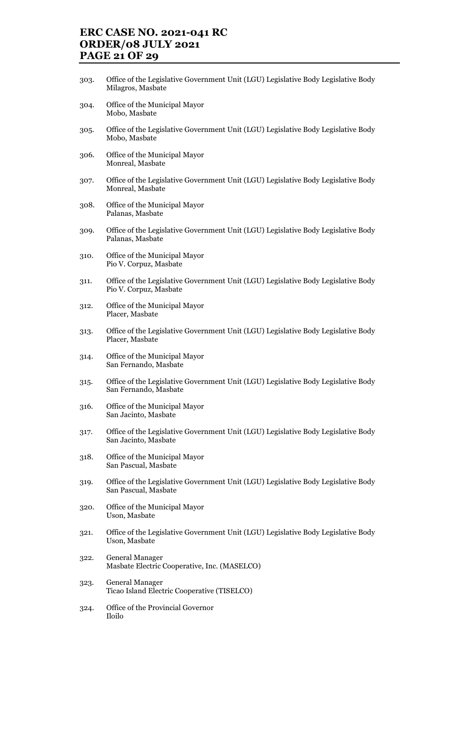# ERC CASE NO. 2021-041 RC ORDER/08 JULY 2021 PAGE 21 OF 29

- 303. Office of the Legislative Government Unit (LGU) Legislative Body Legislative Body Milagros, Masbate
- 304. Office of the Municipal Mayor Mobo, Masbate
- 305. Office of the Legislative Government Unit (LGU) Legislative Body Legislative Body Mobo, Masbate
- 306. Office of the Municipal Mayor Monreal, Masbate
- 307. Office of the Legislative Government Unit (LGU) Legislative Body Legislative Body Monreal, Masbate
- 308. Office of the Municipal Mayor Palanas, Masbate
- 309. Office of the Legislative Government Unit (LGU) Legislative Body Legislative Body Palanas, Masbate
- 310. Office of the Municipal Mayor Pio V. Corpuz, Masbate
- 311. Office of the Legislative Government Unit (LGU) Legislative Body Legislative Body Pio V. Corpuz, Masbate
- 312. Office of the Municipal Mayor Placer, Masbate
- 313. Office of the Legislative Government Unit (LGU) Legislative Body Legislative Body Placer, Masbate
- 314. Office of the Municipal Mayor San Fernando, Masbate
- 315. Office of the Legislative Government Unit (LGU) Legislative Body Legislative Body San Fernando, Masbate
- 316. Office of the Municipal Mayor San Jacinto, Masbate
- 317. Office of the Legislative Government Unit (LGU) Legislative Body Legislative Body San Jacinto, Masbate
- 318. Office of the Municipal Mayor San Pascual, Masbate
- 319. Office of the Legislative Government Unit (LGU) Legislative Body Legislative Body San Pascual, Masbate
- 320. Office of the Municipal Mayor Uson, Masbate
- 321. Office of the Legislative Government Unit (LGU) Legislative Body Legislative Body Uson, Masbate
- 322. General Manager Masbate Electric Cooperative, Inc. (MASELCO)
- 323. General Manager Ticao Island Electric Cooperative (TISELCO)
- 324. Office of the Provincial Governor Iloilo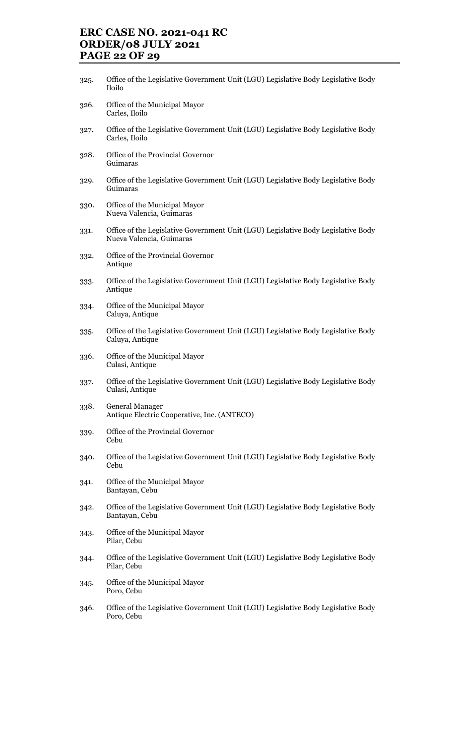# ERC CASE NO. 2021-041 RC ORDER/08 JULY 2021 PAGE 22 OF 29

- 325. Office of the Legislative Government Unit (LGU) Legislative Body Legislative Body Iloilo
- 326. Office of the Municipal Mayor Carles, Iloilo
- 327. Office of the Legislative Government Unit (LGU) Legislative Body Legislative Body Carles, Iloilo
- 328. Office of the Provincial Governor Guimaras
- 329. Office of the Legislative Government Unit (LGU) Legislative Body Legislative Body Guimaras
- 330. Office of the Municipal Mayor Nueva Valencia, Guimaras
- 331. Office of the Legislative Government Unit (LGU) Legislative Body Legislative Body Nueva Valencia, Guimaras
- 332. Office of the Provincial Governor Antique
- 333. Office of the Legislative Government Unit (LGU) Legislative Body Legislative Body Antique
- 334. Office of the Municipal Mayor Caluya, Antique
- 335. Office of the Legislative Government Unit (LGU) Legislative Body Legislative Body Caluya, Antique
- 336. Office of the Municipal Mayor Culasi, Antique
- 337. Office of the Legislative Government Unit (LGU) Legislative Body Legislative Body Culasi, Antique
- 338. General Manager Antique Electric Cooperative, Inc. (ANTECO)
- 339. Office of the Provincial Governor Cebu
- 340. Office of the Legislative Government Unit (LGU) Legislative Body Legislative Body Cebu
- 341. Office of the Municipal Mayor Bantayan, Cebu
- 342. Office of the Legislative Government Unit (LGU) Legislative Body Legislative Body Bantayan, Cebu
- 343. Office of the Municipal Mayor Pilar, Cebu
- 344. Office of the Legislative Government Unit (LGU) Legislative Body Legislative Body Pilar, Cebu
- 345. Office of the Municipal Mayor Poro, Cebu
- 346. Office of the Legislative Government Unit (LGU) Legislative Body Legislative Body Poro, Cebu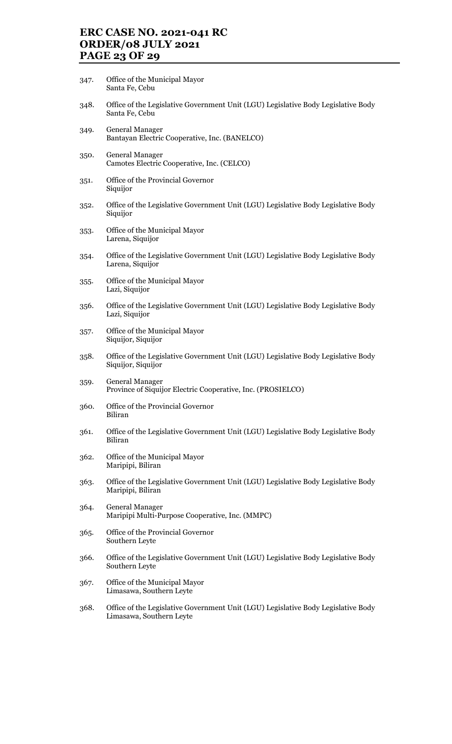# ERC CASE NO. 2021-041 RC ORDER/08 JULY 2021 PAGE 23 OF 29

- 347. Office of the Municipal Mayor Santa Fe, Cebu
- 348. Office of the Legislative Government Unit (LGU) Legislative Body Legislative Body Santa Fe, Cebu
- 349. General Manager Bantayan Electric Cooperative, Inc. (BANELCO)
- 350. General Manager Camotes Electric Cooperative, Inc. (CELCO)
- 351. Office of the Provincial Governor Siquijor
- 352. Office of the Legislative Government Unit (LGU) Legislative Body Legislative Body Siquijor
- 353. Office of the Municipal Mayor Larena, Siquijor
- 354. Office of the Legislative Government Unit (LGU) Legislative Body Legislative Body Larena, Siquijor
- 355. Office of the Municipal Mayor Lazi, Siquijor
- 356. Office of the Legislative Government Unit (LGU) Legislative Body Legislative Body Lazi, Siquijor
- 357. Office of the Municipal Mayor Siquijor, Siquijor
- 358. Office of the Legislative Government Unit (LGU) Legislative Body Legislative Body Siquijor, Siquijor
- 359. General Manager Province of Siquijor Electric Cooperative, Inc. (PROSIELCO)
- 360. Office of the Provincial Governor Biliran
- 361. Office of the Legislative Government Unit (LGU) Legislative Body Legislative Body Biliran
- 362. Office of the Municipal Mayor Maripipi, Biliran
- 363. Office of the Legislative Government Unit (LGU) Legislative Body Legislative Body Maripipi, Biliran
- 364. General Manager Maripipi Multi-Purpose Cooperative, Inc. (MMPC)
- 365. Office of the Provincial Governor Southern Leyte
- 366. Office of the Legislative Government Unit (LGU) Legislative Body Legislative Body Southern Leyte
- 367. Office of the Municipal Mayor Limasawa, Southern Leyte
- 368. Office of the Legislative Government Unit (LGU) Legislative Body Legislative Body Limasawa, Southern Leyte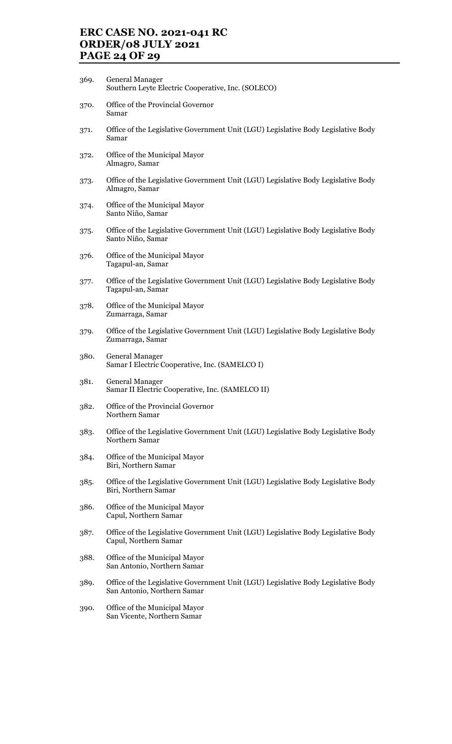# ERC CASE NO. 2021-041 RC ORDER/08 JULY 2021 PAGE 24 OF 29

- 369. General Manager Southern Leyte Electric Cooperative, Inc. (SOLECO)
- 370. Office of the Provincial Governor Samar
- 371. Office of the Legislative Government Unit (LGU) Legislative Body Legislative Body Samar
- 372. Office of the Municipal Mayor Almagro, Samar
- 373. Office of the Legislative Government Unit (LGU) Legislative Body Legislative Body Almagro, Samar
- 374. Office of the Municipal Mayor Santo Niño, Samar
- 375. Office of the Legislative Government Unit (LGU) Legislative Body Legislative Body Santo Niño, Samar
- 376. Office of the Municipal Mayor Tagapul-an, Samar
- 377. Office of the Legislative Government Unit (LGU) Legislative Body Legislative Body Tagapul-an, Samar
- 378. Office of the Municipal Mayor Zumarraga, Samar
- 379. Office of the Legislative Government Unit (LGU) Legislative Body Legislative Body Zumarraga, Samar
- 380. General Manager Samar I Electric Cooperative, Inc. (SAMELCO I)
- 381. General Manager Samar II Electric Cooperative, Inc. (SAMELCO II)
- 382. Office of the Provincial Governor Northern Samar
- 383. Office of the Legislative Government Unit (LGU) Legislative Body Legislative Body Northern Samar
- 384. Office of the Municipal Mayor Biri, Northern Samar
- 385. Office of the Legislative Government Unit (LGU) Legislative Body Legislative Body Biri, Northern Samar
- 386. Office of the Municipal Mayor Capul, Northern Samar
- 387. Office of the Legislative Government Unit (LGU) Legislative Body Legislative Body Capul, Northern Samar
- 388. Office of the Municipal Mayor San Antonio, Northern Samar
- 389. Office of the Legislative Government Unit (LGU) Legislative Body Legislative Body San Antonio, Northern Samar
- 390. Office of the Municipal Mayor San Vicente, Northern Samar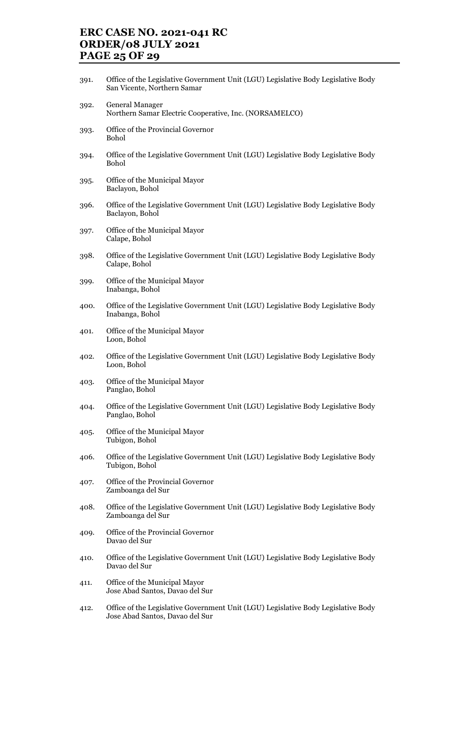# ERC CASE NO. 2021-041 RC ORDER/08 JULY 2021 PAGE 25 OF 29

- 391. Office of the Legislative Government Unit (LGU) Legislative Body Legislative Body San Vicente, Northern Samar
- 392. General Manager Northern Samar Electric Cooperative, Inc. (NORSAMELCO)
- 393. Office of the Provincial Governor Bohol
- 394. Office of the Legislative Government Unit (LGU) Legislative Body Legislative Body Bohol
- 395. Office of the Municipal Mayor Baclayon, Bohol
- 396. Office of the Legislative Government Unit (LGU) Legislative Body Legislative Body Baclayon, Bohol
- 397. Office of the Municipal Mayor Calape, Bohol
- 398. Office of the Legislative Government Unit (LGU) Legislative Body Legislative Body Calape, Bohol
- 399. Office of the Municipal Mayor Inabanga, Bohol
- 400. Office of the Legislative Government Unit (LGU) Legislative Body Legislative Body Inabanga, Bohol
- 401. Office of the Municipal Mayor Loon, Bohol
- 402. Office of the Legislative Government Unit (LGU) Legislative Body Legislative Body Loon, Bohol
- 403. Office of the Municipal Mayor Panglao, Bohol
- 404. Office of the Legislative Government Unit (LGU) Legislative Body Legislative Body Panglao, Bohol
- 405. Office of the Municipal Mayor Tubigon, Bohol
- 406. Office of the Legislative Government Unit (LGU) Legislative Body Legislative Body Tubigon, Bohol
- 407. Office of the Provincial Governor Zamboanga del Sur
- 408. Office of the Legislative Government Unit (LGU) Legislative Body Legislative Body Zamboanga del Sur
- 409. Office of the Provincial Governor Davao del Sur
- 410. Office of the Legislative Government Unit (LGU) Legislative Body Legislative Body Davao del Sur
- 411. Office of the Municipal Mayor Jose Abad Santos, Davao del Sur
- 412. Office of the Legislative Government Unit (LGU) Legislative Body Legislative Body Jose Abad Santos, Davao del Sur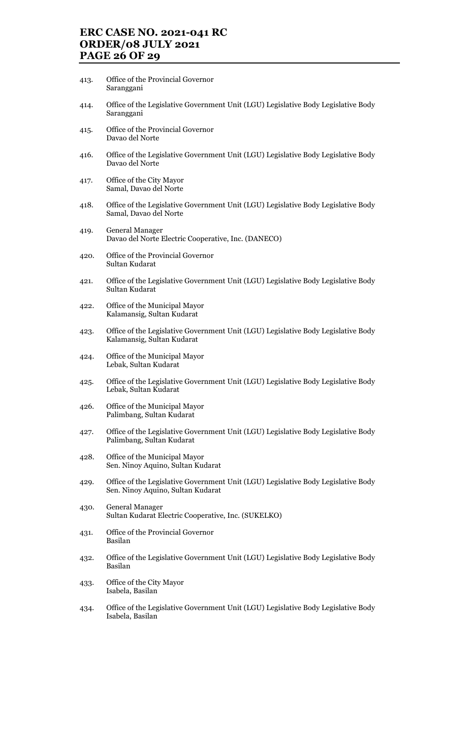# ERC CASE NO. 2021-041 RC ORDER/08 JULY 2021 PAGE 26 OF 29

- 413. Office of the Provincial Governor Saranggani
- 414. Office of the Legislative Government Unit (LGU) Legislative Body Legislative Body Saranggani
- 415. Office of the Provincial Governor Davao del Norte
- 416. Office of the Legislative Government Unit (LGU) Legislative Body Legislative Body Davao del Norte
- 417. Office of the City Mayor Samal, Davao del Norte
- 418. Office of the Legislative Government Unit (LGU) Legislative Body Legislative Body Samal, Davao del Norte
- 419. General Manager Davao del Norte Electric Cooperative, Inc. (DANECO)
- 420. Office of the Provincial Governor Sultan Kudarat
- 421. Office of the Legislative Government Unit (LGU) Legislative Body Legislative Body Sultan Kudarat
- 422. Office of the Municipal Mayor Kalamansig, Sultan Kudarat
- 423. Office of the Legislative Government Unit (LGU) Legislative Body Legislative Body Kalamansig, Sultan Kudarat
- 424. Office of the Municipal Mayor Lebak, Sultan Kudarat
- 425. Office of the Legislative Government Unit (LGU) Legislative Body Legislative Body Lebak, Sultan Kudarat
- 426. Office of the Municipal Mayor Palimbang, Sultan Kudarat
- 427. Office of the Legislative Government Unit (LGU) Legislative Body Legislative Body Palimbang, Sultan Kudarat
- 428. Office of the Municipal Mayor Sen. Ninoy Aquino, Sultan Kudarat
- 429. Office of the Legislative Government Unit (LGU) Legislative Body Legislative Body Sen. Ninoy Aquino, Sultan Kudarat
- 430. General Manager Sultan Kudarat Electric Cooperative, Inc. (SUKELKO)
- 431. Office of the Provincial Governor Basilan
- 432. Office of the Legislative Government Unit (LGU) Legislative Body Legislative Body Basilan
- 433. Office of the City Mayor Isabela, Basilan
- 434. Office of the Legislative Government Unit (LGU) Legislative Body Legislative Body Isabela, Basilan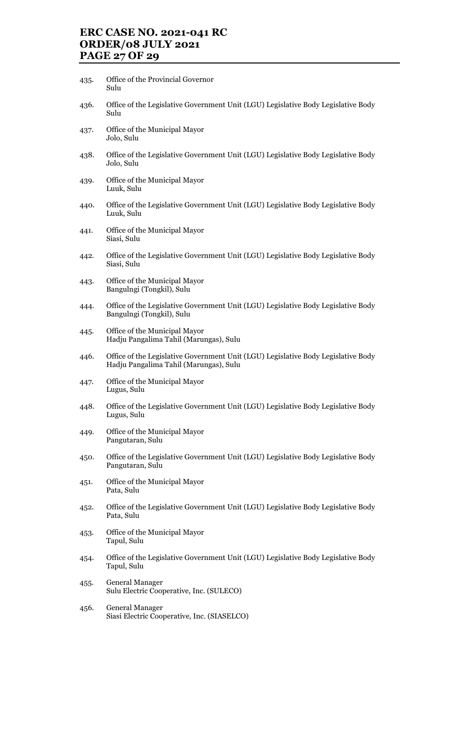# ERC CASE NO. 2021-041 RC ORDER/08 JULY 2021 PAGE 27 OF 29

- 435. Office of the Provincial Governor Sulu
- 436. Office of the Legislative Government Unit (LGU) Legislative Body Legislative Body Sulu
- 437. Office of the Municipal Mayor Jolo, Sulu
- 438. Office of the Legislative Government Unit (LGU) Legislative Body Legislative Body Jolo, Sulu
- 439. Office of the Municipal Mayor Luuk, Sulu
- 440. Office of the Legislative Government Unit (LGU) Legislative Body Legislative Body Luuk, Sulu
- 441. Office of the Municipal Mayor Siasi, Sulu
- 442. Office of the Legislative Government Unit (LGU) Legislative Body Legislative Body Siasi, Sulu
- 443. Office of the Municipal Mayor Bangulngi (Tongkil), Sulu
- 444. Office of the Legislative Government Unit (LGU) Legislative Body Legislative Body Bangulngi (Tongkil), Sulu
- 445. Office of the Municipal Mayor Hadju Pangalima Tahil (Marungas), Sulu
- 446. Office of the Legislative Government Unit (LGU) Legislative Body Legislative Body Hadju Pangalima Tahil (Marungas), Sulu
- 447. Office of the Municipal Mayor Lugus, Sulu
- 448. Office of the Legislative Government Unit (LGU) Legislative Body Legislative Body Lugus, Sulu
- 449. Office of the Municipal Mayor Pangutaran, Sulu
- 450. Office of the Legislative Government Unit (LGU) Legislative Body Legislative Body Pangutaran, Sulu
- 451. Office of the Municipal Mayor Pata, Sulu
- 452. Office of the Legislative Government Unit (LGU) Legislative Body Legislative Body Pata, Sulu
- 453. Office of the Municipal Mayor Tapul, Sulu
- 454. Office of the Legislative Government Unit (LGU) Legislative Body Legislative Body Tapul, Sulu
- 455. General Manager Sulu Electric Cooperative, Inc. (SULECO)
- 456. General Manager Siasi Electric Cooperative, Inc. (SIASELCO)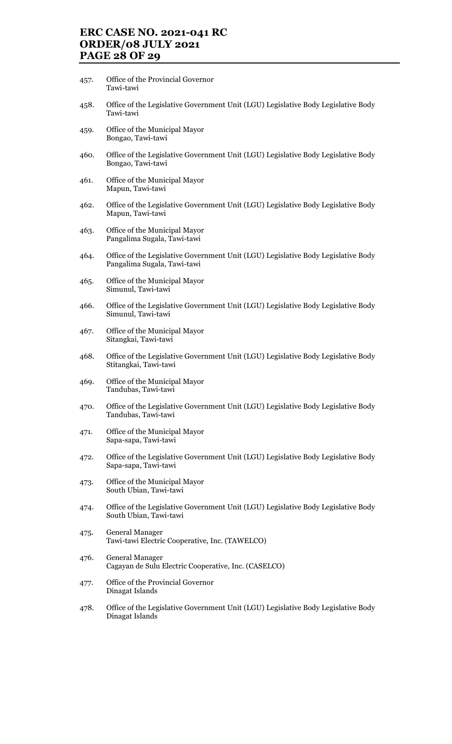## ERC CASE NO. 2021-041 RC ORDER/08 JULY 2021 PAGE 28 OF 29

- 457. Office of the Provincial Governor Tawi-tawi
- 458. Office of the Legislative Government Unit (LGU) Legislative Body Legislative Body Tawi-tawi
- 459. Office of the Municipal Mayor Bongao, Tawi-tawi
- 460. Office of the Legislative Government Unit (LGU) Legislative Body Legislative Body Bongao, Tawi-tawi
- 461. Office of the Municipal Mayor Mapun, Tawi-tawi
- 462. Office of the Legislative Government Unit (LGU) Legislative Body Legislative Body Mapun, Tawi-tawi
- 463. Office of the Municipal Mayor Pangalima Sugala, Tawi-tawi
- 464. Office of the Legislative Government Unit (LGU) Legislative Body Legislative Body Pangalima Sugala, Tawi-tawi
- 465. Office of the Municipal Mayor Simunul, Tawi-tawi
- 466. Office of the Legislative Government Unit (LGU) Legislative Body Legislative Body Simunul, Tawi-tawi
- 467. Office of the Municipal Mayor Sitangkai, Tawi-tawi
- 468. Office of the Legislative Government Unit (LGU) Legislative Body Legislative Body Stitangkai, Tawi-tawi
- 469. Office of the Municipal Mayor Tandubas, Tawi-tawi
- 470. Office of the Legislative Government Unit (LGU) Legislative Body Legislative Body Tandubas, Tawi-tawi
- 471. Office of the Municipal Mayor Sapa-sapa, Tawi-tawi
- 472. Office of the Legislative Government Unit (LGU) Legislative Body Legislative Body Sapa-sapa, Tawi-tawi
- 473. Office of the Municipal Mayor South Ubian, Tawi-tawi
- 474. Office of the Legislative Government Unit (LGU) Legislative Body Legislative Body South Ubian, Tawi-tawi
- 475. General Manager Tawi-tawi Electric Cooperative, Inc. (TAWELCO)
- 476. General Manager Cagayan de Sulu Electric Cooperative, Inc. (CASELCO)
- 477. Office of the Provincial Governor Dinagat Islands
- 478. Office of the Legislative Government Unit (LGU) Legislative Body Legislative Body Dinagat Islands